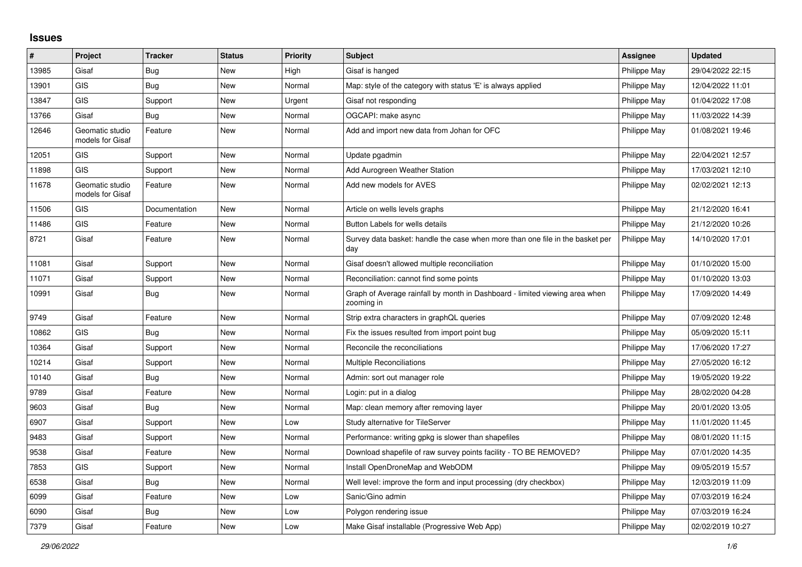## **Issues**

| #     | Project                             | <b>Tracker</b> | <b>Status</b> | <b>Priority</b> | <b>Subject</b>                                                                            | <b>Assignee</b> | <b>Updated</b>   |
|-------|-------------------------------------|----------------|---------------|-----------------|-------------------------------------------------------------------------------------------|-----------------|------------------|
| 13985 | Gisaf                               | Bug            | New           | High            | Gisaf is hanged                                                                           | Philippe May    | 29/04/2022 22:15 |
| 13901 | <b>GIS</b>                          | <b>Bug</b>     | New           | Normal          | Map: style of the category with status 'E' is always applied                              | Philippe May    | 12/04/2022 11:01 |
| 13847 | <b>GIS</b>                          | Support        | New           | Urgent          | Gisaf not responding                                                                      | Philippe May    | 01/04/2022 17:08 |
| 13766 | Gisaf                               | Bug            | New           | Normal          | OGCAPI: make async                                                                        | Philippe May    | 11/03/2022 14:39 |
| 12646 | Geomatic studio<br>models for Gisaf | Feature        | New           | Normal          | Add and import new data from Johan for OFC                                                | Philippe May    | 01/08/2021 19:46 |
| 12051 | <b>GIS</b>                          | Support        | New           | Normal          | Update pgadmin                                                                            | Philippe May    | 22/04/2021 12:57 |
| 11898 | <b>GIS</b>                          | Support        | New           | Normal          | Add Aurogreen Weather Station                                                             | Philippe May    | 17/03/2021 12:10 |
| 11678 | Geomatic studio<br>models for Gisaf | Feature        | New           | Normal          | Add new models for AVES                                                                   | Philippe May    | 02/02/2021 12:13 |
| 11506 | <b>GIS</b>                          | Documentation  | <b>New</b>    | Normal          | Article on wells levels graphs                                                            | Philippe May    | 21/12/2020 16:41 |
| 11486 | <b>GIS</b>                          | Feature        | New           | Normal          | Button Labels for wells details                                                           | Philippe May    | 21/12/2020 10:26 |
| 8721  | Gisaf                               | Feature        | <b>New</b>    | Normal          | Survey data basket: handle the case when more than one file in the basket per<br>day      | Philippe May    | 14/10/2020 17:01 |
| 11081 | Gisaf                               | Support        | New           | Normal          | Gisaf doesn't allowed multiple reconciliation                                             | Philippe May    | 01/10/2020 15:00 |
| 11071 | Gisaf                               | Support        | New           | Normal          | Reconciliation: cannot find some points                                                   | Philippe May    | 01/10/2020 13:03 |
| 10991 | Gisaf                               | <b>Bug</b>     | New           | Normal          | Graph of Average rainfall by month in Dashboard - limited viewing area when<br>zooming in | Philippe May    | 17/09/2020 14:49 |
| 9749  | Gisaf                               | Feature        | New           | Normal          | Strip extra characters in graphQL queries                                                 | Philippe May    | 07/09/2020 12:48 |
| 10862 | <b>GIS</b>                          | Bug            | New           | Normal          | Fix the issues resulted from import point bug                                             | Philippe May    | 05/09/2020 15:11 |
| 10364 | Gisaf                               | Support        | New           | Normal          | Reconcile the reconciliations                                                             | Philippe May    | 17/06/2020 17:27 |
| 10214 | Gisaf                               | Support        | New           | Normal          | <b>Multiple Reconciliations</b>                                                           | Philippe May    | 27/05/2020 16:12 |
| 10140 | Gisaf                               | <b>Bug</b>     | New           | Normal          | Admin: sort out manager role                                                              | Philippe May    | 19/05/2020 19:22 |
| 9789  | Gisaf                               | Feature        | New           | Normal          | Login: put in a dialog                                                                    | Philippe May    | 28/02/2020 04:28 |
| 9603  | Gisaf                               | <b>Bug</b>     | New           | Normal          | Map: clean memory after removing layer                                                    | Philippe May    | 20/01/2020 13:05 |
| 6907  | Gisaf                               | Support        | New           | Low             | Study alternative for TileServer                                                          | Philippe May    | 11/01/2020 11:45 |
| 9483  | Gisaf                               | Support        | New           | Normal          | Performance: writing gpkg is slower than shapefiles                                       | Philippe May    | 08/01/2020 11:15 |
| 9538  | Gisaf                               | Feature        | New           | Normal          | Download shapefile of raw survey points facility - TO BE REMOVED?                         | Philippe May    | 07/01/2020 14:35 |
| 7853  | GIS                                 | Support        | New           | Normal          | Install OpenDroneMap and WebODM                                                           | Philippe May    | 09/05/2019 15:57 |
| 6538  | Gisaf                               | Bug            | New           | Normal          | Well level: improve the form and input processing (dry checkbox)                          | Philippe May    | 12/03/2019 11:09 |
| 6099  | Gisaf                               | Feature        | New           | Low             | Sanic/Gino admin                                                                          | Philippe May    | 07/03/2019 16:24 |
| 6090  | Gisaf                               | <b>Bug</b>     | New           | Low             | Polygon rendering issue                                                                   | Philippe May    | 07/03/2019 16:24 |
| 7379  | Gisaf                               | Feature        | New           | Low             | Make Gisaf installable (Progressive Web App)                                              | Philippe May    | 02/02/2019 10:27 |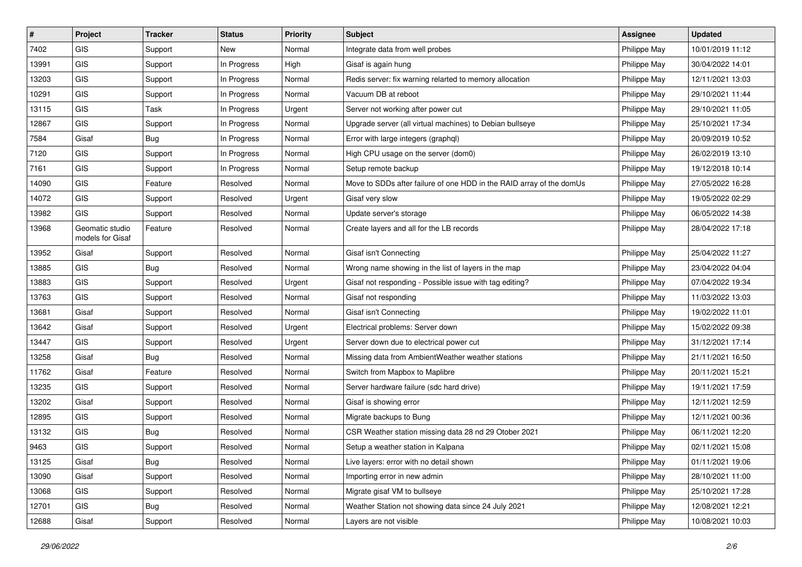| #     | Project                             | <b>Tracker</b> | <b>Status</b> | <b>Priority</b> | <b>Subject</b>                                                       | <b>Assignee</b> | <b>Updated</b>   |
|-------|-------------------------------------|----------------|---------------|-----------------|----------------------------------------------------------------------|-----------------|------------------|
| 7402  | <b>GIS</b>                          | Support        | New           | Normal          | Integrate data from well probes                                      | Philippe May    | 10/01/2019 11:12 |
| 13991 | GIS                                 | Support        | In Progress   | High            | Gisaf is again hung                                                  | Philippe May    | 30/04/2022 14:01 |
| 13203 | <b>GIS</b>                          | Support        | In Progress   | Normal          | Redis server: fix warning relarted to memory allocation              | Philippe May    | 12/11/2021 13:03 |
| 10291 | GIS                                 | Support        | In Progress   | Normal          | Vacuum DB at reboot                                                  | Philippe May    | 29/10/2021 11:44 |
| 13115 | GIS                                 | Task           | In Progress   | Urgent          | Server not working after power cut                                   | Philippe May    | 29/10/2021 11:05 |
| 12867 | GIS                                 | Support        | In Progress   | Normal          | Upgrade server (all virtual machines) to Debian bullseye             | Philippe May    | 25/10/2021 17:34 |
| 7584  | Gisaf                               | <b>Bug</b>     | In Progress   | Normal          | Error with large integers (graphql)                                  | Philippe May    | 20/09/2019 10:52 |
| 7120  | GIS                                 | Support        | In Progress   | Normal          | High CPU usage on the server (dom0)                                  | Philippe May    | 26/02/2019 13:10 |
| 7161  | GIS                                 | Support        | In Progress   | Normal          | Setup remote backup                                                  | Philippe May    | 19/12/2018 10:14 |
| 14090 | GIS                                 | Feature        | Resolved      | Normal          | Move to SDDs after failure of one HDD in the RAID array of the domUs | Philippe May    | 27/05/2022 16:28 |
| 14072 | <b>GIS</b>                          | Support        | Resolved      | Urgent          | Gisaf very slow                                                      | Philippe May    | 19/05/2022 02:29 |
| 13982 | <b>GIS</b>                          | Support        | Resolved      | Normal          | Update server's storage                                              | Philippe May    | 06/05/2022 14:38 |
| 13968 | Geomatic studio<br>models for Gisaf | Feature        | Resolved      | Normal          | Create layers and all for the LB records                             | Philippe May    | 28/04/2022 17:18 |
| 13952 | Gisaf                               | Support        | Resolved      | Normal          | Gisaf isn't Connecting                                               | Philippe May    | 25/04/2022 11:27 |
| 13885 | GIS                                 | Bug            | Resolved      | Normal          | Wrong name showing in the list of layers in the map                  | Philippe May    | 23/04/2022 04:04 |
| 13883 | GIS                                 | Support        | Resolved      | Urgent          | Gisaf not responding - Possible issue with tag editing?              | Philippe May    | 07/04/2022 19:34 |
| 13763 | GIS                                 | Support        | Resolved      | Normal          | Gisaf not responding                                                 | Philippe May    | 11/03/2022 13:03 |
| 13681 | Gisaf                               | Support        | Resolved      | Normal          | Gisaf isn't Connecting                                               | Philippe May    | 19/02/2022 11:01 |
| 13642 | Gisaf                               | Support        | Resolved      | Urgent          | Electrical problems: Server down                                     | Philippe May    | 15/02/2022 09:38 |
| 13447 | GIS                                 | Support        | Resolved      | Urgent          | Server down due to electrical power cut                              | Philippe May    | 31/12/2021 17:14 |
| 13258 | Gisaf                               | <b>Bug</b>     | Resolved      | Normal          | Missing data from AmbientWeather weather stations                    | Philippe May    | 21/11/2021 16:50 |
| 11762 | Gisaf                               | Feature        | Resolved      | Normal          | Switch from Mapbox to Maplibre                                       | Philippe May    | 20/11/2021 15:21 |
| 13235 | <b>GIS</b>                          | Support        | Resolved      | Normal          | Server hardware failure (sdc hard drive)                             | Philippe May    | 19/11/2021 17:59 |
| 13202 | Gisaf                               | Support        | Resolved      | Normal          | Gisaf is showing error                                               | Philippe May    | 12/11/2021 12:59 |
| 12895 | GIS                                 | Support        | Resolved      | Normal          | Migrate backups to Bung                                              | Philippe May    | 12/11/2021 00:36 |
| 13132 | GIS                                 | <b>Bug</b>     | Resolved      | Normal          | CSR Weather station missing data 28 nd 29 Otober 2021                | Philippe May    | 06/11/2021 12:20 |
| 9463  | GIS                                 | Support        | Resolved      | Normal          | Setup a weather station in Kalpana                                   | Philippe May    | 02/11/2021 15:08 |
| 13125 | Gisaf                               | <b>Bug</b>     | Resolved      | Normal          | Live layers: error with no detail shown                              | Philippe May    | 01/11/2021 19:06 |
| 13090 | Gisaf                               | Support        | Resolved      | Normal          | Importing error in new admin                                         | Philippe May    | 28/10/2021 11:00 |
| 13068 | GIS                                 | Support        | Resolved      | Normal          | Migrate gisaf VM to bullseye                                         | Philippe May    | 25/10/2021 17:28 |
| 12701 | GIS                                 | <b>Bug</b>     | Resolved      | Normal          | Weather Station not showing data since 24 July 2021                  | Philippe May    | 12/08/2021 12:21 |
| 12688 | Gisaf                               | Support        | Resolved      | Normal          | Layers are not visible                                               | Philippe May    | 10/08/2021 10:03 |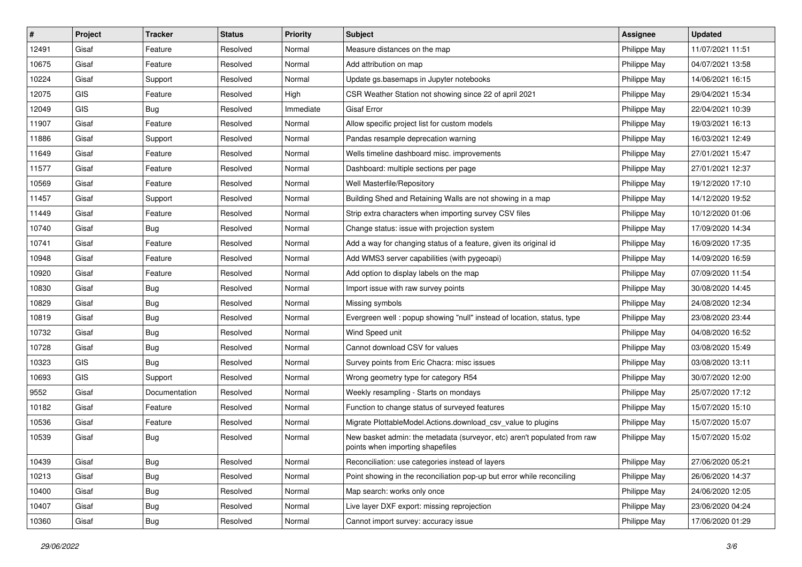| #     | Project | <b>Tracker</b> | <b>Status</b> | <b>Priority</b> | Subject                                                                                                      | Assignee     | <b>Updated</b>   |
|-------|---------|----------------|---------------|-----------------|--------------------------------------------------------------------------------------------------------------|--------------|------------------|
| 12491 | Gisaf   | Feature        | Resolved      | Normal          | Measure distances on the map                                                                                 | Philippe May | 11/07/2021 11:51 |
| 10675 | Gisaf   | Feature        | Resolved      | Normal          | Add attribution on map                                                                                       | Philippe May | 04/07/2021 13:58 |
| 10224 | Gisaf   | Support        | Resolved      | Normal          | Update gs.basemaps in Jupyter notebooks                                                                      | Philippe May | 14/06/2021 16:15 |
| 12075 | GIS     | Feature        | Resolved      | High            | CSR Weather Station not showing since 22 of april 2021                                                       | Philippe May | 29/04/2021 15:34 |
| 12049 | GIS     | <b>Bug</b>     | Resolved      | Immediate       | Gisaf Error                                                                                                  | Philippe May | 22/04/2021 10:39 |
| 11907 | Gisaf   | Feature        | Resolved      | Normal          | Allow specific project list for custom models                                                                | Philippe May | 19/03/2021 16:13 |
| 11886 | Gisaf   | Support        | Resolved      | Normal          | Pandas resample deprecation warning                                                                          | Philippe May | 16/03/2021 12:49 |
| 11649 | Gisaf   | Feature        | Resolved      | Normal          | Wells timeline dashboard misc. improvements                                                                  | Philippe May | 27/01/2021 15:47 |
| 11577 | Gisaf   | Feature        | Resolved      | Normal          | Dashboard: multiple sections per page                                                                        | Philippe May | 27/01/2021 12:37 |
| 10569 | Gisaf   | Feature        | Resolved      | Normal          | Well Masterfile/Repository                                                                                   | Philippe May | 19/12/2020 17:10 |
| 11457 | Gisaf   | Support        | Resolved      | Normal          | Building Shed and Retaining Walls are not showing in a map                                                   | Philippe May | 14/12/2020 19:52 |
| 11449 | Gisaf   | Feature        | Resolved      | Normal          | Strip extra characters when importing survey CSV files                                                       | Philippe May | 10/12/2020 01:06 |
| 10740 | Gisaf   | Bug            | Resolved      | Normal          | Change status: issue with projection system                                                                  | Philippe May | 17/09/2020 14:34 |
| 10741 | Gisaf   | Feature        | Resolved      | Normal          | Add a way for changing status of a feature, given its original id                                            | Philippe May | 16/09/2020 17:35 |
| 10948 | Gisaf   | Feature        | Resolved      | Normal          | Add WMS3 server capabilities (with pygeoapi)                                                                 | Philippe May | 14/09/2020 16:59 |
| 10920 | Gisaf   | Feature        | Resolved      | Normal          | Add option to display labels on the map                                                                      | Philippe May | 07/09/2020 11:54 |
| 10830 | Gisaf   | <b>Bug</b>     | Resolved      | Normal          | Import issue with raw survey points                                                                          | Philippe May | 30/08/2020 14:45 |
| 10829 | Gisaf   | <b>Bug</b>     | Resolved      | Normal          | Missing symbols                                                                                              | Philippe May | 24/08/2020 12:34 |
| 10819 | Gisaf   | <b>Bug</b>     | Resolved      | Normal          | Evergreen well: popup showing "null" instead of location, status, type                                       | Philippe May | 23/08/2020 23:44 |
| 10732 | Gisaf   | <b>Bug</b>     | Resolved      | Normal          | Wind Speed unit                                                                                              | Philippe May | 04/08/2020 16:52 |
| 10728 | Gisaf   | Bug            | Resolved      | Normal          | Cannot download CSV for values                                                                               | Philippe May | 03/08/2020 15:49 |
| 10323 | GIS     | <b>Bug</b>     | Resolved      | Normal          | Survey points from Eric Chacra: misc issues                                                                  | Philippe May | 03/08/2020 13:11 |
| 10693 | GIS     | Support        | Resolved      | Normal          | Wrong geometry type for category R54                                                                         | Philippe May | 30/07/2020 12:00 |
| 9552  | Gisaf   | Documentation  | Resolved      | Normal          | Weekly resampling - Starts on mondays                                                                        | Philippe May | 25/07/2020 17:12 |
| 10182 | Gisaf   | Feature        | Resolved      | Normal          | Function to change status of surveyed features                                                               | Philippe May | 15/07/2020 15:10 |
| 10536 | Gisaf   | Feature        | Resolved      | Normal          | Migrate PlottableModel.Actions.download csv value to plugins                                                 | Philippe May | 15/07/2020 15:07 |
| 10539 | Gisaf   | <b>Bug</b>     | Resolved      | Normal          | New basket admin: the metadata (surveyor, etc) aren't populated from raw<br>points when importing shapefiles | Philippe May | 15/07/2020 15:02 |
| 10439 | Gisaf   | <b>Bug</b>     | Resolved      | Normal          | Reconciliation: use categories instead of layers                                                             | Philippe May | 27/06/2020 05:21 |
| 10213 | Gisaf   | Bug            | Resolved      | Normal          | Point showing in the reconciliation pop-up but error while reconciling                                       | Philippe May | 26/06/2020 14:37 |
| 10400 | Gisaf   | <b>Bug</b>     | Resolved      | Normal          | Map search: works only once                                                                                  | Philippe May | 24/06/2020 12:05 |
| 10407 | Gisaf   | <b>Bug</b>     | Resolved      | Normal          | Live layer DXF export: missing reprojection                                                                  | Philippe May | 23/06/2020 04:24 |
| 10360 | Gisaf   | Bug            | Resolved      | Normal          | Cannot import survey: accuracy issue                                                                         | Philippe May | 17/06/2020 01:29 |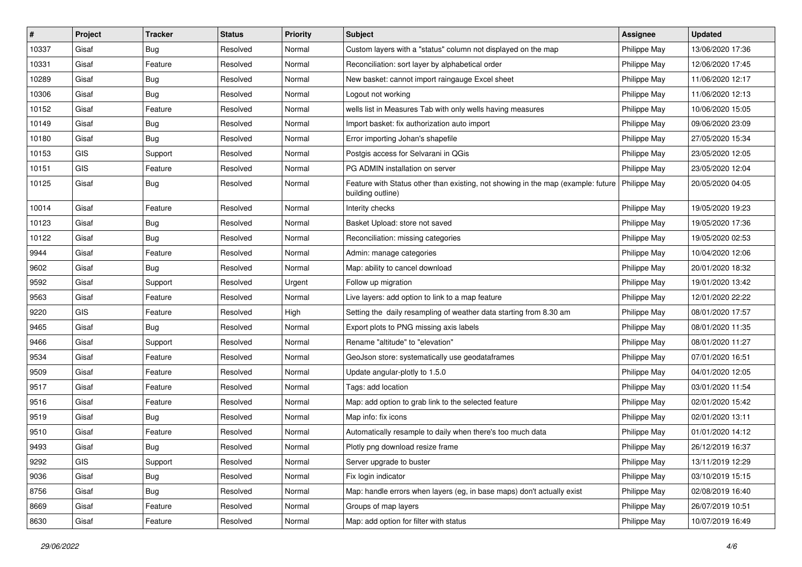| #     | Project | <b>Tracker</b> | <b>Status</b> | Priority | <b>Subject</b>                                                                                                       | <b>Assignee</b> | <b>Updated</b>   |
|-------|---------|----------------|---------------|----------|----------------------------------------------------------------------------------------------------------------------|-----------------|------------------|
| 10337 | Gisaf   | <b>Bug</b>     | Resolved      | Normal   | Custom layers with a "status" column not displayed on the map                                                        | Philippe May    | 13/06/2020 17:36 |
| 10331 | Gisaf   | Feature        | Resolved      | Normal   | Reconciliation: sort layer by alphabetical order                                                                     | Philippe May    | 12/06/2020 17:45 |
| 10289 | Gisaf   | <b>Bug</b>     | Resolved      | Normal   | New basket: cannot import raingauge Excel sheet                                                                      | Philippe May    | 11/06/2020 12:17 |
| 10306 | Gisaf   | <b>Bug</b>     | Resolved      | Normal   | Logout not working                                                                                                   | Philippe May    | 11/06/2020 12:13 |
| 10152 | Gisaf   | Feature        | Resolved      | Normal   | wells list in Measures Tab with only wells having measures                                                           | Philippe May    | 10/06/2020 15:05 |
| 10149 | Gisaf   | <b>Bug</b>     | Resolved      | Normal   | Import basket: fix authorization auto import                                                                         | Philippe May    | 09/06/2020 23:09 |
| 10180 | Gisaf   | Bug            | Resolved      | Normal   | Error importing Johan's shapefile                                                                                    | Philippe May    | 27/05/2020 15:34 |
| 10153 | GIS     | Support        | Resolved      | Normal   | Postgis access for Selvarani in QGis                                                                                 | Philippe May    | 23/05/2020 12:05 |
| 10151 | GIS     | Feature        | Resolved      | Normal   | PG ADMIN installation on server                                                                                      | Philippe May    | 23/05/2020 12:04 |
| 10125 | Gisaf   | <b>Bug</b>     | Resolved      | Normal   | Feature with Status other than existing, not showing in the map (example: future   Philippe May<br>building outline) |                 | 20/05/2020 04:05 |
| 10014 | Gisaf   | Feature        | Resolved      | Normal   | Interity checks                                                                                                      | Philippe May    | 19/05/2020 19:23 |
| 10123 | Gisaf   | <b>Bug</b>     | Resolved      | Normal   | Basket Upload: store not saved                                                                                       | Philippe May    | 19/05/2020 17:36 |
| 10122 | Gisaf   | <b>Bug</b>     | Resolved      | Normal   | Reconciliation: missing categories                                                                                   | Philippe May    | 19/05/2020 02:53 |
| 9944  | Gisaf   | Feature        | Resolved      | Normal   | Admin: manage categories                                                                                             | Philippe May    | 10/04/2020 12:06 |
| 9602  | Gisaf   | Bug            | Resolved      | Normal   | Map: ability to cancel download                                                                                      | Philippe May    | 20/01/2020 18:32 |
| 9592  | Gisaf   | Support        | Resolved      | Urgent   | Follow up migration                                                                                                  | Philippe May    | 19/01/2020 13:42 |
| 9563  | Gisaf   | Feature        | Resolved      | Normal   | Live layers: add option to link to a map feature                                                                     | Philippe May    | 12/01/2020 22:22 |
| 9220  | GIS     | Feature        | Resolved      | High     | Setting the daily resampling of weather data starting from 8.30 am                                                   | Philippe May    | 08/01/2020 17:57 |
| 9465  | Gisaf   | Bug            | Resolved      | Normal   | Export plots to PNG missing axis labels                                                                              | Philippe May    | 08/01/2020 11:35 |
| 9466  | Gisaf   | Support        | Resolved      | Normal   | Rename "altitude" to "elevation"                                                                                     | Philippe May    | 08/01/2020 11:27 |
| 9534  | Gisaf   | Feature        | Resolved      | Normal   | GeoJson store: systematically use geodataframes                                                                      | Philippe May    | 07/01/2020 16:51 |
| 9509  | Gisaf   | Feature        | Resolved      | Normal   | Update angular-plotly to 1.5.0                                                                                       | Philippe May    | 04/01/2020 12:05 |
| 9517  | Gisaf   | Feature        | Resolved      | Normal   | Tags: add location                                                                                                   | Philippe May    | 03/01/2020 11:54 |
| 9516  | Gisaf   | Feature        | Resolved      | Normal   | Map: add option to grab link to the selected feature                                                                 | Philippe May    | 02/01/2020 15:42 |
| 9519  | Gisaf   | <b>Bug</b>     | Resolved      | Normal   | Map info: fix icons                                                                                                  | Philippe May    | 02/01/2020 13:11 |
| 9510  | Gisaf   | Feature        | Resolved      | Normal   | Automatically resample to daily when there's too much data                                                           | Philippe May    | 01/01/2020 14:12 |
| 9493  | Gisaf   | Bug            | Resolved      | Normal   | Plotly png download resize frame                                                                                     | Philippe May    | 26/12/2019 16:37 |
| 9292  | GIS     | Support        | Resolved      | Normal   | Server upgrade to buster                                                                                             | Philippe May    | 13/11/2019 12:29 |
| 9036  | Gisaf   | <b>Bug</b>     | Resolved      | Normal   | Fix login indicator                                                                                                  | Philippe May    | 03/10/2019 15:15 |
| 8756  | Gisaf   | <b>Bug</b>     | Resolved      | Normal   | Map: handle errors when layers (eg, in base maps) don't actually exist                                               | Philippe May    | 02/08/2019 16:40 |
| 8669  | Gisaf   | Feature        | Resolved      | Normal   | Groups of map layers                                                                                                 | Philippe May    | 26/07/2019 10:51 |
| 8630  | Gisaf   | Feature        | Resolved      | Normal   | Map: add option for filter with status                                                                               | Philippe May    | 10/07/2019 16:49 |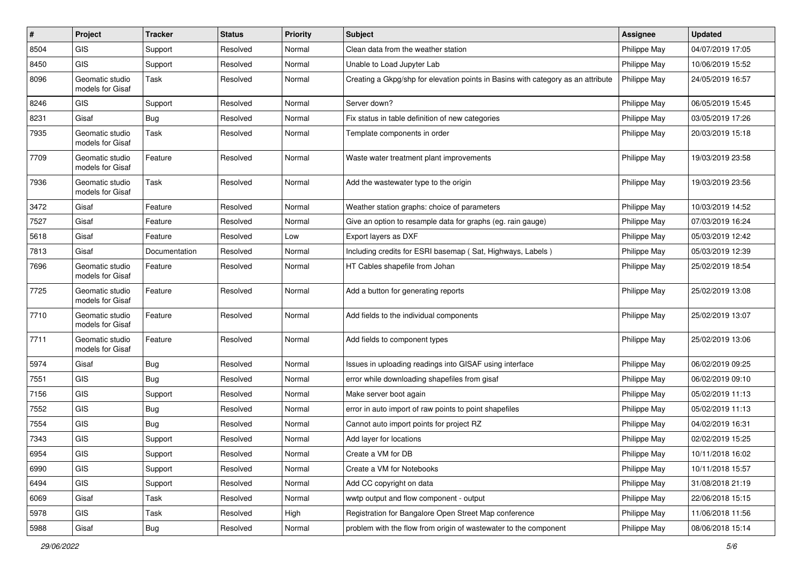| $\sharp$ | Project                             | <b>Tracker</b> | <b>Status</b> | <b>Priority</b> | <b>Subject</b>                                                                   | <b>Assignee</b> | <b>Updated</b>   |
|----------|-------------------------------------|----------------|---------------|-----------------|----------------------------------------------------------------------------------|-----------------|------------------|
| 8504     | GIS                                 | Support        | Resolved      | Normal          | Clean data from the weather station                                              | Philippe May    | 04/07/2019 17:05 |
| 8450     | <b>GIS</b>                          | Support        | Resolved      | Normal          | Unable to Load Jupyter Lab                                                       | Philippe May    | 10/06/2019 15:52 |
| 8096     | Geomatic studio<br>models for Gisaf | Task           | Resolved      | Normal          | Creating a Gkpg/shp for elevation points in Basins with category as an attribute | Philippe May    | 24/05/2019 16:57 |
| 8246     | <b>GIS</b>                          | Support        | Resolved      | Normal          | Server down?                                                                     | Philippe May    | 06/05/2019 15:45 |
| 8231     | Gisaf                               | <b>Bug</b>     | Resolved      | Normal          | Fix status in table definition of new categories                                 | Philippe May    | 03/05/2019 17:26 |
| 7935     | Geomatic studio<br>models for Gisaf | Task           | Resolved      | Normal          | Template components in order                                                     | Philippe May    | 20/03/2019 15:18 |
| 7709     | Geomatic studio<br>models for Gisaf | Feature        | Resolved      | Normal          | Waste water treatment plant improvements                                         | Philippe May    | 19/03/2019 23:58 |
| 7936     | Geomatic studio<br>models for Gisaf | Task           | Resolved      | Normal          | Add the wastewater type to the origin                                            | Philippe May    | 19/03/2019 23:56 |
| 3472     | Gisaf                               | Feature        | Resolved      | Normal          | Weather station graphs: choice of parameters                                     | Philippe May    | 10/03/2019 14:52 |
| 7527     | Gisaf                               | Feature        | Resolved      | Normal          | Give an option to resample data for graphs (eg. rain gauge)                      | Philippe May    | 07/03/2019 16:24 |
| 5618     | Gisaf                               | Feature        | Resolved      | Low             | Export layers as DXF                                                             | Philippe May    | 05/03/2019 12:42 |
| 7813     | Gisaf                               | Documentation  | Resolved      | Normal          | Including credits for ESRI basemap (Sat, Highways, Labels)                       | Philippe May    | 05/03/2019 12:39 |
| 7696     | Geomatic studio<br>models for Gisaf | Feature        | Resolved      | Normal          | HT Cables shapefile from Johan                                                   | Philippe May    | 25/02/2019 18:54 |
| 7725     | Geomatic studio<br>models for Gisaf | Feature        | Resolved      | Normal          | Add a button for generating reports                                              | Philippe May    | 25/02/2019 13:08 |
| 7710     | Geomatic studio<br>models for Gisaf | Feature        | Resolved      | Normal          | Add fields to the individual components                                          | Philippe May    | 25/02/2019 13:07 |
| 7711     | Geomatic studio<br>models for Gisaf | Feature        | Resolved      | Normal          | Add fields to component types                                                    | Philippe May    | 25/02/2019 13:06 |
| 5974     | Gisaf                               | <b>Bug</b>     | Resolved      | Normal          | Issues in uploading readings into GISAF using interface                          | Philippe May    | 06/02/2019 09:25 |
| 7551     | <b>GIS</b>                          | <b>Bug</b>     | Resolved      | Normal          | error while downloading shapefiles from gisaf                                    | Philippe May    | 06/02/2019 09:10 |
| 7156     | <b>GIS</b>                          | Support        | Resolved      | Normal          | Make server boot again                                                           | Philippe May    | 05/02/2019 11:13 |
| 7552     | <b>GIS</b>                          | <b>Bug</b>     | Resolved      | Normal          | error in auto import of raw points to point shapefiles                           | Philippe May    | 05/02/2019 11:13 |
| 7554     | <b>GIS</b>                          | <b>Bug</b>     | Resolved      | Normal          | Cannot auto import points for project RZ                                         | Philippe May    | 04/02/2019 16:31 |
| 7343     | <b>GIS</b>                          | Support        | Resolved      | Normal          | Add layer for locations                                                          | Philippe May    | 02/02/2019 15:25 |
| 6954     | GIS                                 | Support        | Resolved      | Normal          | Create a VM for DB                                                               | Philippe May    | 10/11/2018 16:02 |
| 6990     | <b>GIS</b>                          | Support        | Resolved      | Normal          | Create a VM for Notebooks                                                        | Philippe May    | 10/11/2018 15:57 |
| 6494     | GIS                                 | Support        | Resolved      | Normal          | Add CC copyright on data                                                         | Philippe May    | 31/08/2018 21:19 |
| 6069     | Gisaf                               | Task           | Resolved      | Normal          | wwtp output and flow component - output                                          | Philippe May    | 22/06/2018 15:15 |
| 5978     | GIS                                 | Task           | Resolved      | High            | Registration for Bangalore Open Street Map conference                            | Philippe May    | 11/06/2018 11:56 |
| 5988     | Gisaf                               | Bug            | Resolved      | Normal          | problem with the flow from origin of wastewater to the component                 | Philippe May    | 08/06/2018 15:14 |